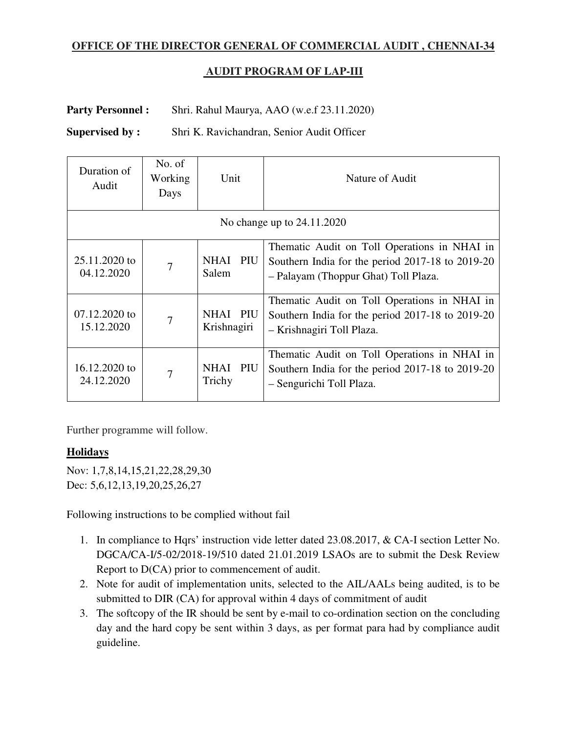## **OFFICE OF THE DIRECTOR GENERAL OF COMMERCIAL AUDIT , CHENNAI-34**

## **AUDIT PROGRAM OF LAP-III**

## Party Personnel : Shri. Rahul Maurya, AAO (w.e.f 23.11.2020)

**Supervised by :** Shri K. Ravichandran, Senior Audit Officer

| Duration of<br>Audit        | No. of<br>Working<br>Days | Unit                    | Nature of Audit                                                                                                                          |
|-----------------------------|---------------------------|-------------------------|------------------------------------------------------------------------------------------------------------------------------------------|
| No change up to 24.11.2020  |                           |                         |                                                                                                                                          |
| 25.11.2020 to<br>04.12.2020 | $\overline{7}$            | NHAI PIU<br>Salem       | Thematic Audit on Toll Operations in NHAI in<br>Southern India for the period 2017-18 to 2019-20<br>- Palayam (Thoppur Ghat) Toll Plaza. |
| 07.12.2020 to<br>15.12.2020 | 7                         | NHAI PIU<br>Krishnagiri | Thematic Audit on Toll Operations in NHAI in<br>Southern India for the period 2017-18 to 2019-20<br>- Krishnagiri Toll Plaza.            |
| 16.12.2020 to<br>24.12.2020 | $\overline{7}$            | NHAI PIU<br>Trichy      | Thematic Audit on Toll Operations in NHAI in<br>Southern India for the period 2017-18 to 2019-20<br>- Sengurichi Toll Plaza.             |

Further programme will follow.

## **Holidays**

Nov: 1,7,8,14,15,21,22,28,29,30 Dec: 5,6,12,13,19,20,25,26,27

Following instructions to be complied without fail

- 1. In compliance to Hqrs' instruction vide letter dated 23.08.2017, & CA-I section Letter No. DGCA/CA-I/5-02/2018-19/510 dated 21.01.2019 LSAOs are to submit the Desk Review Report to D(CA) prior to commencement of audit.
- 2. Note for audit of implementation units, selected to the AIL/AALs being audited, is to be submitted to DIR (CA) for approval within 4 days of commitment of audit
- 3. The softcopy of the IR should be sent by e-mail to co-ordination section on the concluding day and the hard copy be sent within 3 days, as per format para had by compliance audit guideline.